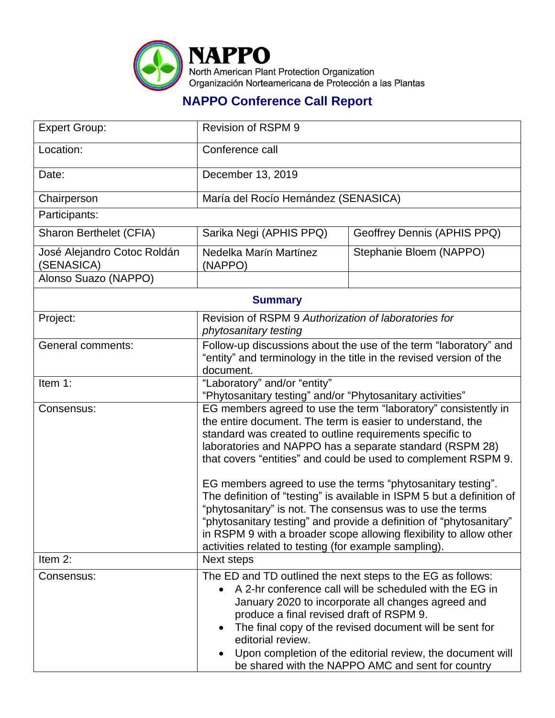

## **NAPPO Conference Call Report**

| <b>Expert Group:</b>                      | <b>Revision of RSPM 9</b>                                                                                                                                                                                                                                                                                                                                                                                                                                                                                                                                                                                                                                                                                                           |                             |  |
|-------------------------------------------|-------------------------------------------------------------------------------------------------------------------------------------------------------------------------------------------------------------------------------------------------------------------------------------------------------------------------------------------------------------------------------------------------------------------------------------------------------------------------------------------------------------------------------------------------------------------------------------------------------------------------------------------------------------------------------------------------------------------------------------|-----------------------------|--|
| Location:                                 | Conference call                                                                                                                                                                                                                                                                                                                                                                                                                                                                                                                                                                                                                                                                                                                     |                             |  |
| Date:                                     | December 13, 2019                                                                                                                                                                                                                                                                                                                                                                                                                                                                                                                                                                                                                                                                                                                   |                             |  |
| Chairperson                               | María del Rocío Hernández (SENASICA)                                                                                                                                                                                                                                                                                                                                                                                                                                                                                                                                                                                                                                                                                                |                             |  |
| Participants:                             |                                                                                                                                                                                                                                                                                                                                                                                                                                                                                                                                                                                                                                                                                                                                     |                             |  |
| Sharon Berthelet (CFIA)                   | Sarika Negi (APHIS PPQ)                                                                                                                                                                                                                                                                                                                                                                                                                                                                                                                                                                                                                                                                                                             | Geoffrey Dennis (APHIS PPQ) |  |
| José Alejandro Cotoc Roldán<br>(SENASICA) | Nedelka Marín Martínez<br>(NAPPO)                                                                                                                                                                                                                                                                                                                                                                                                                                                                                                                                                                                                                                                                                                   | Stephanie Bloem (NAPPO)     |  |
| Alonso Suazo (NAPPO)                      |                                                                                                                                                                                                                                                                                                                                                                                                                                                                                                                                                                                                                                                                                                                                     |                             |  |
| <b>Summary</b>                            |                                                                                                                                                                                                                                                                                                                                                                                                                                                                                                                                                                                                                                                                                                                                     |                             |  |
| Project:                                  | Revision of RSPM 9 Authorization of laboratories for<br>phytosanitary testing                                                                                                                                                                                                                                                                                                                                                                                                                                                                                                                                                                                                                                                       |                             |  |
| <b>General comments:</b>                  | Follow-up discussions about the use of the term "laboratory" and<br>"entity" and terminology in the title in the revised version of the<br>document.                                                                                                                                                                                                                                                                                                                                                                                                                                                                                                                                                                                |                             |  |
| Item 1:                                   | "Laboratory" and/or "entity"<br>"Phytosanitary testing" and/or "Phytosanitary activities"                                                                                                                                                                                                                                                                                                                                                                                                                                                                                                                                                                                                                                           |                             |  |
| Consensus:                                | EG members agreed to use the term "laboratory" consistently in<br>the entire document. The term is easier to understand, the<br>standard was created to outline requirements specific to<br>laboratories and NAPPO has a separate standard (RSPM 28)<br>that covers "entities" and could be used to complement RSPM 9.<br>EG members agreed to use the terms "phytosanitary testing".<br>The definition of "testing" is available in ISPM 5 but a definition of<br>"phytosanitary" is not. The consensus was to use the terms<br>"phytosanitary testing" and provide a definition of "phytosanitary"<br>in RSPM 9 with a broader scope allowing flexibility to allow other<br>activities related to testing (for example sampling). |                             |  |
| Item 2:                                   | Next steps                                                                                                                                                                                                                                                                                                                                                                                                                                                                                                                                                                                                                                                                                                                          |                             |  |
| Consensus:                                | The ED and TD outlined the next steps to the EG as follows:<br>A 2-hr conference call will be scheduled with the EG in<br>January 2020 to incorporate all changes agreed and<br>produce a final revised draft of RSPM 9.<br>The final copy of the revised document will be sent for<br>editorial review.<br>Upon completion of the editorial review, the document will<br>be shared with the NAPPO AMC and sent for country                                                                                                                                                                                                                                                                                                         |                             |  |